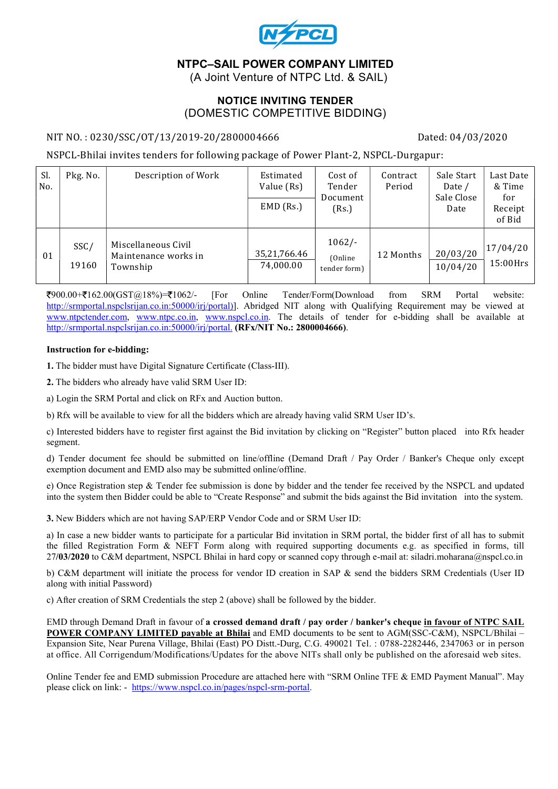

# NTPC–SAIL POWER COMPANY LIMITED

(A Joint Venture of NTPC Ltd. & SAIL)

#### NOTICE INVITING TENDER (DOMESTIC COMPETITIVE BIDDING)

#### NIT NO.: 0230/SSC/OT/13/2019-20/2800004666 Dated: 04/03/2020

NSPCL-Bhilai invites tenders for following package of Power Plant-2, NSPCL-Durgapur:

| Sl.<br>No. | Pkg. No.      | Description of Work                                     | Estimated<br>Value (Rs)<br>$EMD$ (Rs.) | Cost of<br>Tender<br>Document<br>(Rs.) | Contract<br>Period | Sale Start<br>Date /<br>Sale Close<br>Date | Last Date<br>& Time<br>for<br>Receipt<br>of Bid |
|------------|---------------|---------------------------------------------------------|----------------------------------------|----------------------------------------|--------------------|--------------------------------------------|-------------------------------------------------|
| 01         | SSC/<br>19160 | Miscellaneous Civil<br>Maintenance works in<br>Township | 35,21,766.46<br>74,000.00              | $1062/-$<br>(Online)<br>tender form)   | 12 Months          | 20/03/20<br>10/04/20                       | 17/04/20<br>$15:00$ Hrs                         |

900.00+ 162.00(GST@18%)= 1062/- [For Online Tender/Form(Download from SRM Portal website: http://srmportal.nspclsrijan.co.in:50000/irj/portal)]. Abridged NIT along with Qualifying Requirement may be viewed at www.ntpctender.com, www.ntpc.co.in, www.nspcl.co.in. The details of tender for e-bidding shall be available at http://srmportal.nspclsrijan.co.in:50000/irj/portal. (RFx/NIT No.: 2800004666).

#### Instruction for e-bidding:

1. The bidder must have Digital Signature Certificate (Class-III).

2. The bidders who already have valid SRM User ID:

a) Login the SRM Portal and click on RFx and Auction button.

b) Rfx will be available to view for all the bidders which are already having valid SRM User ID's.

c) Interested bidders have to register first against the Bid invitation by clicking on "Register" button placed into Rfx header segment.

d) Tender document fee should be submitted on line/offline (Demand Draft / Pay Order / Banker's Cheque only except exemption document and EMD also may be submitted online/offline.

e) Once Registration step & Tender fee submission is done by bidder and the tender fee received by the NSPCL and updated into the system then Bidder could be able to "Create Response" and submit the bids against the Bid invitation into the system.

3. New Bidders which are not having SAP/ERP Vendor Code and or SRM User ID:

a) In case a new bidder wants to participate for a particular Bid invitation in SRM portal, the bidder first of all has to submit the filled Registration Form & NEFT Form along with required supporting documents e.g. as specified in forms, till 27/03/2020 to C&M department, NSPCL Bhilai in hard copy or scanned copy through e-mail at: siladri.moharana@nspcl.co.in

b) C&M department will initiate the process for vendor ID creation in SAP & send the bidders SRM Credentials (User ID along with initial Password)

c) After creation of SRM Credentials the step 2 (above) shall be followed by the bidder.

EMD through Demand Draft in favour of a crossed demand draft / pay order / banker's cheque in favour of NTPC SAIL POWER COMPANY LIMITED payable at Bhilai and EMD documents to be sent to AGM(SSC-C&M), NSPCL/Bhilai – Expansion Site, Near Purena Village, Bhilai (East) PO Distt.-Durg, C.G. 490021 Tel. : 0788-2282446, 2347063 or in person at office. All Corrigendum/Modifications/Updates for the above NITs shall only be published on the aforesaid web sites.

Online Tender fee and EMD submission Procedure are attached here with "SRM Online TFE & EMD Payment Manual". May please click on link: - https://www.nspcl.co.in/pages/nspcl-srm-portal.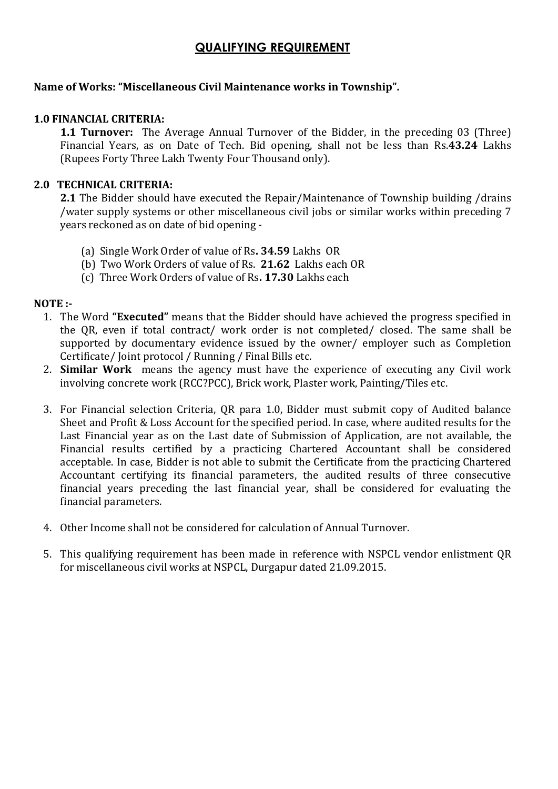# QUALIFYING REQUIREMENT

#### Name of Works: "Miscellaneous Civil Maintenance works in Township".

#### 1.0 FINANCIAL CRITERIA:

**1.1 Turnover:** The Average Annual Turnover of the Bidder, in the preceding 03 (Three) Financial Years, as on Date of Tech. Bid opening, shall not be less than Rs.43.24 Lakhs (Rupees Forty Three Lakh Twenty Four Thousand only).

#### 2.0 TECHNICAL CRITERIA:

2.1 The Bidder should have executed the Repair/Maintenance of Township building /drains /water supply systems or other miscellaneous civil jobs or similar works within preceding 7 years reckoned as on date of bid opening -

- (a) Single Work Order of value of Rs. 34.59 Lakhs OR
- (b) Two Work Orders of value of Rs. 21.62 Lakhs each OR
- (c) Three Work Orders of value of Rs. 17.30 Lakhs each

#### NOTE :-

- 1. The Word "Executed" means that the Bidder should have achieved the progress specified in the QR, even if total contract/ work order is not completed/ closed. The same shall be supported by documentary evidence issued by the owner/ employer such as Completion Certificate/ Joint protocol / Running / Final Bills etc.
- 2. Similar Work means the agency must have the experience of executing any Civil work involving concrete work (RCC?PCC), Brick work, Plaster work, Painting/Tiles etc.
- 3. For Financial selection Criteria, QR para 1.0, Bidder must submit copy of Audited balance Sheet and Profit & Loss Account for the specified period. In case, where audited results for the Last Financial year as on the Last date of Submission of Application, are not available, the Financial results certified by a practicing Chartered Accountant shall be considered acceptable. In case, Bidder is not able to submit the Certificate from the practicing Chartered Accountant certifying its financial parameters, the audited results of three consecutive financial years preceding the last financial year, shall be considered for evaluating the financial parameters.
- 4. Other Income shall not be considered for calculation of Annual Turnover.
- 5. This qualifying requirement has been made in reference with NSPCL vendor enlistment QR for miscellaneous civil works at NSPCL, Durgapur dated 21.09.2015.